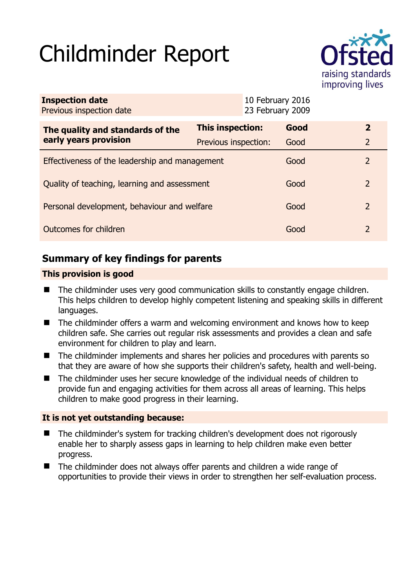# Childminder Report



| <b>Inspection date</b><br>Previous inspection date        |                      | 23 February 2009 | 10 February 2016 |               |
|-----------------------------------------------------------|----------------------|------------------|------------------|---------------|
| The quality and standards of the<br>early years provision | This inspection:     |                  | Good             | $\mathbf{2}$  |
|                                                           | Previous inspection: |                  | Good             | 2             |
| Effectiveness of the leadership and management            |                      |                  | Good             | $\mathcal{P}$ |
| Quality of teaching, learning and assessment              |                      |                  | Good             | $\mathcal{P}$ |
| Personal development, behaviour and welfare               |                      |                  | Good             | 2             |
| Outcomes for children                                     |                      |                  | Good             | $\mathcal{L}$ |

# **Summary of key findings for parents**

## **This provision is good**

- The childminder uses very good communication skills to constantly engage children. This helps children to develop highly competent listening and speaking skills in different languages.
- The childminder offers a warm and welcoming environment and knows how to keep children safe. She carries out regular risk assessments and provides a clean and safe environment for children to play and learn.
- The childminder implements and shares her policies and procedures with parents so that they are aware of how she supports their children's safety, health and well-being.
- The childminder uses her secure knowledge of the individual needs of children to provide fun and engaging activities for them across all areas of learning. This helps children to make good progress in their learning.

## **It is not yet outstanding because:**

- The childminder's system for tracking children's development does not rigorously enable her to sharply assess gaps in learning to help children make even better progress.
- The childminder does not always offer parents and children a wide range of opportunities to provide their views in order to strengthen her self-evaluation process.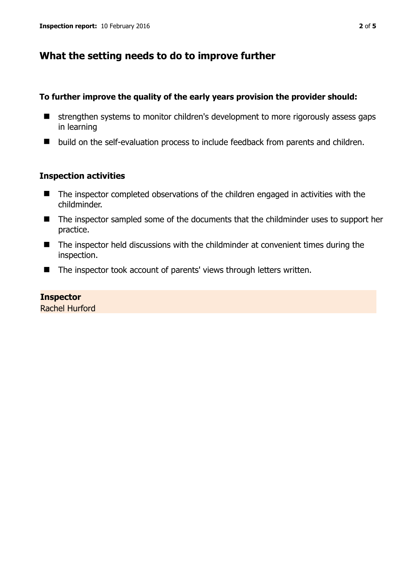# **What the setting needs to do to improve further**

#### **To further improve the quality of the early years provision the provider should:**

- $\blacksquare$  strengthen systems to monitor children's development to more rigorously assess gaps in learning
- build on the self-evaluation process to include feedback from parents and children.

#### **Inspection activities**

- The inspector completed observations of the children engaged in activities with the childminder.
- The inspector sampled some of the documents that the childminder uses to support her practice.
- The inspector held discussions with the childminder at convenient times during the inspection.
- The inspector took account of parents' views through letters written.

#### **Inspector**

Rachel Hurford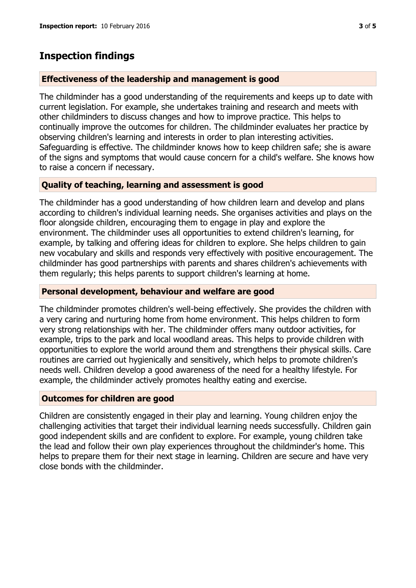# **Inspection findings**

#### **Effectiveness of the leadership and management is good**

The childminder has a good understanding of the requirements and keeps up to date with current legislation. For example, she undertakes training and research and meets with other childminders to discuss changes and how to improve practice. This helps to continually improve the outcomes for children. The childminder evaluates her practice by observing children's learning and interests in order to plan interesting activities. Safeguarding is effective. The childminder knows how to keep children safe; she is aware of the signs and symptoms that would cause concern for a child's welfare. She knows how to raise a concern if necessary.

## **Quality of teaching, learning and assessment is good**

The childminder has a good understanding of how children learn and develop and plans according to children's individual learning needs. She organises activities and plays on the floor alongside children, encouraging them to engage in play and explore the environment. The childminder uses all opportunities to extend children's learning, for example, by talking and offering ideas for children to explore. She helps children to gain new vocabulary and skills and responds very effectively with positive encouragement. The childminder has good partnerships with parents and shares children's achievements with them regularly; this helps parents to support children's learning at home.

#### **Personal development, behaviour and welfare are good**

The childminder promotes children's well-being effectively. She provides the children with a very caring and nurturing home from home environment. This helps children to form very strong relationships with her. The childminder offers many outdoor activities, for example, trips to the park and local woodland areas. This helps to provide children with opportunities to explore the world around them and strengthens their physical skills. Care routines are carried out hygienically and sensitively, which helps to promote children's needs well. Children develop a good awareness of the need for a healthy lifestyle. For example, the childminder actively promotes healthy eating and exercise.

## **Outcomes for children are good**

Children are consistently engaged in their play and learning. Young children enjoy the challenging activities that target their individual learning needs successfully. Children gain good independent skills and are confident to explore. For example, young children take the lead and follow their own play experiences throughout the childminder's home. This helps to prepare them for their next stage in learning. Children are secure and have very close bonds with the childminder.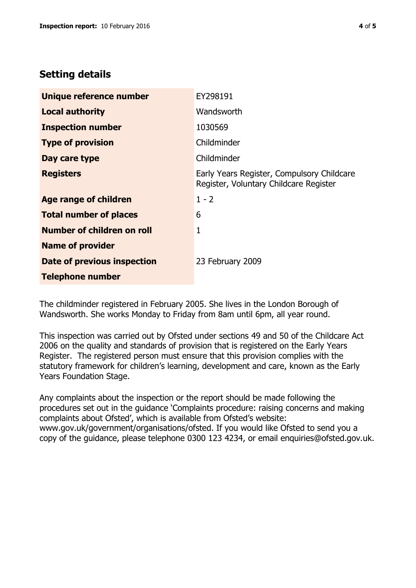# **Setting details**

| Unique reference number       | EY298191                                                                             |  |
|-------------------------------|--------------------------------------------------------------------------------------|--|
| <b>Local authority</b>        | Wandsworth                                                                           |  |
| <b>Inspection number</b>      | 1030569                                                                              |  |
| <b>Type of provision</b>      | Childminder                                                                          |  |
| Day care type                 | Childminder                                                                          |  |
| <b>Registers</b>              | Early Years Register, Compulsory Childcare<br>Register, Voluntary Childcare Register |  |
| <b>Age range of children</b>  | $1 - 2$                                                                              |  |
| <b>Total number of places</b> | 6                                                                                    |  |
| Number of children on roll    | 1                                                                                    |  |
| <b>Name of provider</b>       |                                                                                      |  |
| Date of previous inspection   | 23 February 2009                                                                     |  |
| Telephone number              |                                                                                      |  |

The childminder registered in February 2005. She lives in the London Borough of Wandsworth. She works Monday to Friday from 8am until 6pm, all year round.

This inspection was carried out by Ofsted under sections 49 and 50 of the Childcare Act 2006 on the quality and standards of provision that is registered on the Early Years Register. The registered person must ensure that this provision complies with the statutory framework for children's learning, development and care, known as the Early Years Foundation Stage.

Any complaints about the inspection or the report should be made following the procedures set out in the guidance 'Complaints procedure: raising concerns and making complaints about Ofsted', which is available from Ofsted's website: www.gov.uk/government/organisations/ofsted. If you would like Ofsted to send you a copy of the guidance, please telephone 0300 123 4234, or email enquiries@ofsted.gov.uk.